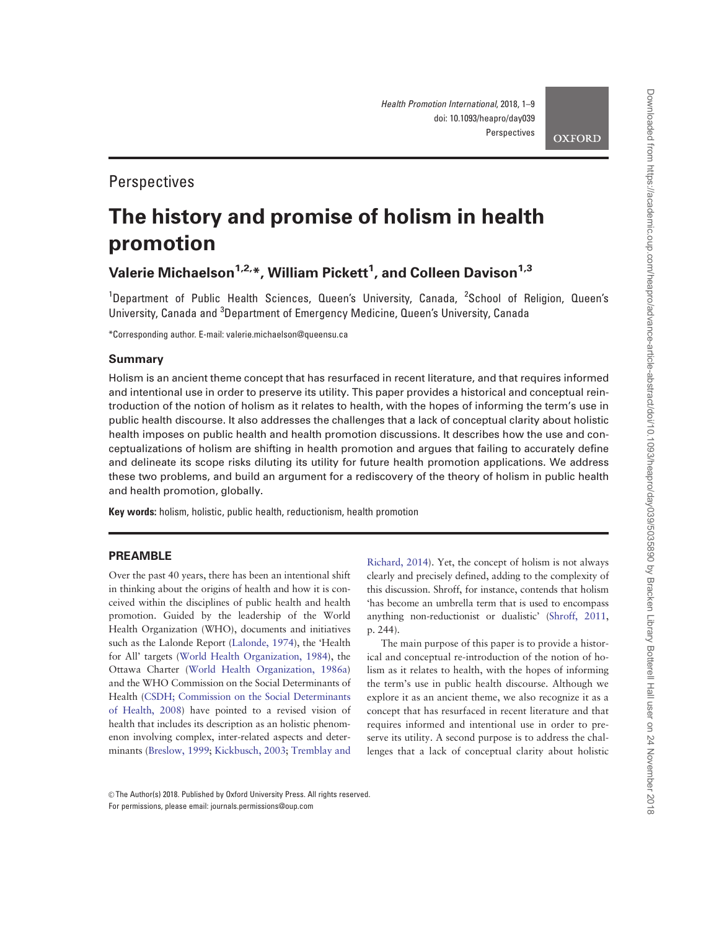# **OXFORD**

# **Perspectives**

# The history and promise of holism in health promotion

# Valerie Michaelson $^{1,2,*}$ , William Pickett $^1$ , and Colleen Davison $^{1,3}$

<sup>1</sup>Department of Public Health Sciences, Queen's University, Canada, <sup>2</sup>School of Religion, Queen's University, Canada and <sup>3</sup>Department of Emergency Medicine, Queen's University, Canada

\*Corresponding author. E-mail: valerie.michaelson@queensu.ca

### Summary

Holism is an ancient theme concept that has resurfaced in recent literature, and that requires informed and intentional use in order to preserve its utility. This paper provides a historical and conceptual reintroduction of the notion of holism as it relates to health, with the hopes of informing the term's use in public health discourse. It also addresses the challenges that a lack of conceptual clarity about holistic health imposes on public health and health promotion discussions. It describes how the use and conceptualizations of holism are shifting in health promotion and argues that failing to accurately define and delineate its scope risks diluting its utility for future health promotion applications. We address these two problems, and build an argument for a rediscovery of the theory of holism in public health and health promotion, globally.

Key words: holism, holistic, public health, reductionism, health promotion

# PREAMBLE

Over the past 40 years, there has been an intentional shift in thinking about the origins of health and how it is conceived within the disciplines of public health and health promotion. Guided by the leadership of the World Health Organization (WHO), documents and initiatives such as the Lalonde Report (Lalonde, 1974), the 'Health for All' targets (World Health Organization, 1984), the Ottawa Charter (World Health Organization, 1986a) and the WHO Commission on the Social Determinants of Health (CSDH; Commission on the Social Determinants of Health, 2008) have pointed to a revised vision of health that includes its description as an holistic phenomenon involving complex, inter-related aspects and determinants (Breslow, 1999; Kickbusch, 2003; Tremblay and Richard, 2014). Yet, the concept of holism is not always clearly and precisely defined, adding to the complexity of this discussion. Shroff, for instance, contends that holism 'has become an umbrella term that is used to encompass anything non-reductionist or dualistic' (Shroff, 2011, p. 244).

The main purpose of this paper is to provide a historical and conceptual re-introduction of the notion of holism as it relates to health, with the hopes of informing the term's use in public health discourse. Although we explore it as an ancient theme, we also recognize it as a concept that has resurfaced in recent literature and that requires informed and intentional use in order to preserve its utility. A second purpose is to address the challenges that a lack of conceptual clarity about holistic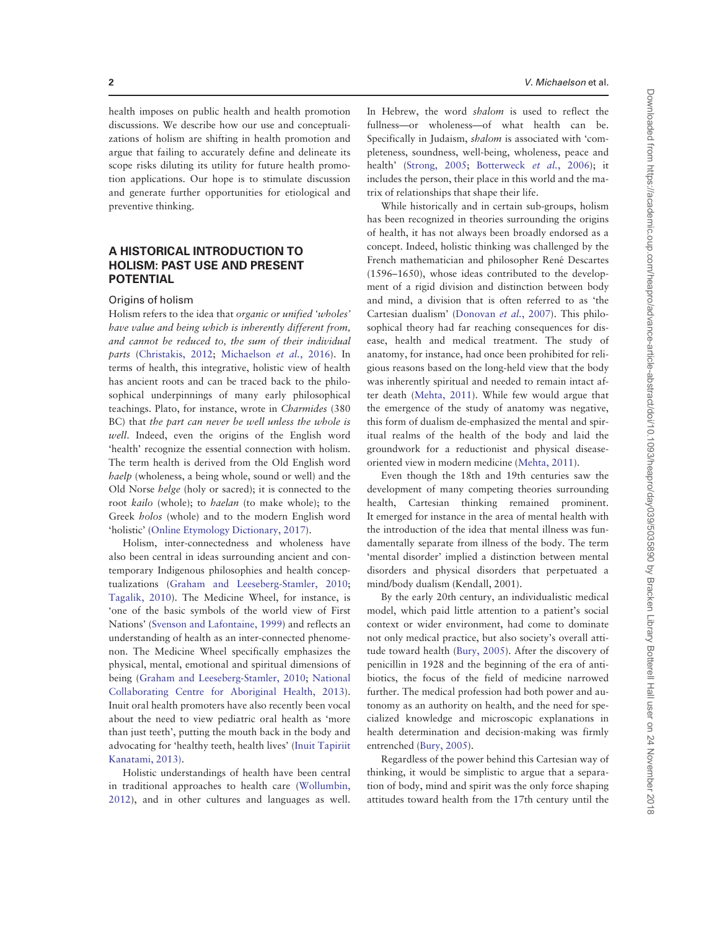health imposes on public health and health promotion discussions. We describe how our use and conceptualizations of holism are shifting in health promotion and argue that failing to accurately define and delineate its scope risks diluting its utility for future health promotion applications. Our hope is to stimulate discussion and generate further opportunities for etiological and preventive thinking.

# A HISTORICAL INTRODUCTION TO HOLISM: PAST USE AND PRESENT POTENTIAL

#### Origins of holism

Holism refers to the idea that organic or unified 'wholes' have value and being which is inherently different from, and cannot be reduced to, the sum of their individual parts (Christakis, 2012; Michaelson et al., 2016). In terms of health, this integrative, holistic view of health has ancient roots and can be traced back to the philosophical underpinnings of many early philosophical teachings. Plato, for instance, wrote in Charmides (380) BC) that the part can never be well unless the whole is well. Indeed, even the origins of the English word 'health' recognize the essential connection with holism. The term health is derived from the Old English word haelp (wholeness, a being whole, sound or well) and the Old Norse helge (holy or sacred); it is connected to the root kailo (whole); to haelan (to make whole); to the Greek holos (whole) and to the modern English word 'holistic' (Online Etymology Dictionary, 2017).

Holism, inter-connectedness and wholeness have also been central in ideas surrounding ancient and contemporary Indigenous philosophies and health conceptualizations (Graham and Leeseberg-Stamler, 2010; Tagalik, 2010). The Medicine Wheel, for instance, is 'one of the basic symbols of the world view of First Nations' (Svenson and Lafontaine, 1999) and reflects an understanding of health as an inter-connected phenomenon. The Medicine Wheel specifically emphasizes the physical, mental, emotional and spiritual dimensions of being (Graham and Leeseberg-Stamler, 2010; National Collaborating Centre for Aboriginal Health, 2013). Inuit oral health promoters have also recently been vocal about the need to view pediatric oral health as 'more than just teeth', putting the mouth back in the body and advocating for 'healthy teeth, health lives' (Inuit Tapiriit Kanatami, 2013).

Holistic understandings of health have been central in traditional approaches to health care (Wollumbin, 2012), and in other cultures and languages as well.

In Hebrew, the word shalom is used to reflect the fullness—or wholeness—of what health can be. Specifically in Judaism, shalom is associated with 'completeness, soundness, well-being, wholeness, peace and health' (Strong, 2005; Botterweck et al., 2006); it includes the person, their place in this world and the matrix of relationships that shape their life.

While historically and in certain sub-groups, holism has been recognized in theories surrounding the origins of health, it has not always been broadly endorsed as a concept. Indeed, holistic thinking was challenged by the French mathematician and philosopher René Descartes (1596–1650), whose ideas contributed to the development of a rigid division and distinction between body and mind, a division that is often referred to as 'the Cartesian dualism' (Donovan et al., 2007). This philosophical theory had far reaching consequences for disease, health and medical treatment. The study of anatomy, for instance, had once been prohibited for religious reasons based on the long-held view that the body was inherently spiritual and needed to remain intact after death (Mehta, 2011). While few would argue that the emergence of the study of anatomy was negative, this form of dualism de-emphasized the mental and spiritual realms of the health of the body and laid the groundwork for a reductionist and physical diseaseoriented view in modern medicine (Mehta, 2011).

Even though the 18th and 19th centuries saw the development of many competing theories surrounding health, Cartesian thinking remained prominent. It emerged for instance in the area of mental health with the introduction of the idea that mental illness was fundamentally separate from illness of the body. The term 'mental disorder' implied a distinction between mental disorders and physical disorders that perpetuated a mind/body dualism (Kendall, 2001).

By the early 20th century, an individualistic medical model, which paid little attention to a patient's social context or wider environment, had come to dominate not only medical practice, but also society's overall attitude toward health (Bury, 2005). After the discovery of penicillin in 1928 and the beginning of the era of antibiotics, the focus of the field of medicine narrowed further. The medical profession had both power and autonomy as an authority on health, and the need for specialized knowledge and microscopic explanations in health determination and decision-making was firmly entrenched (Bury, 2005).

Regardless of the power behind this Cartesian way of thinking, it would be simplistic to argue that a separation of body, mind and spirit was the only force shaping attitudes toward health from the 17th century until the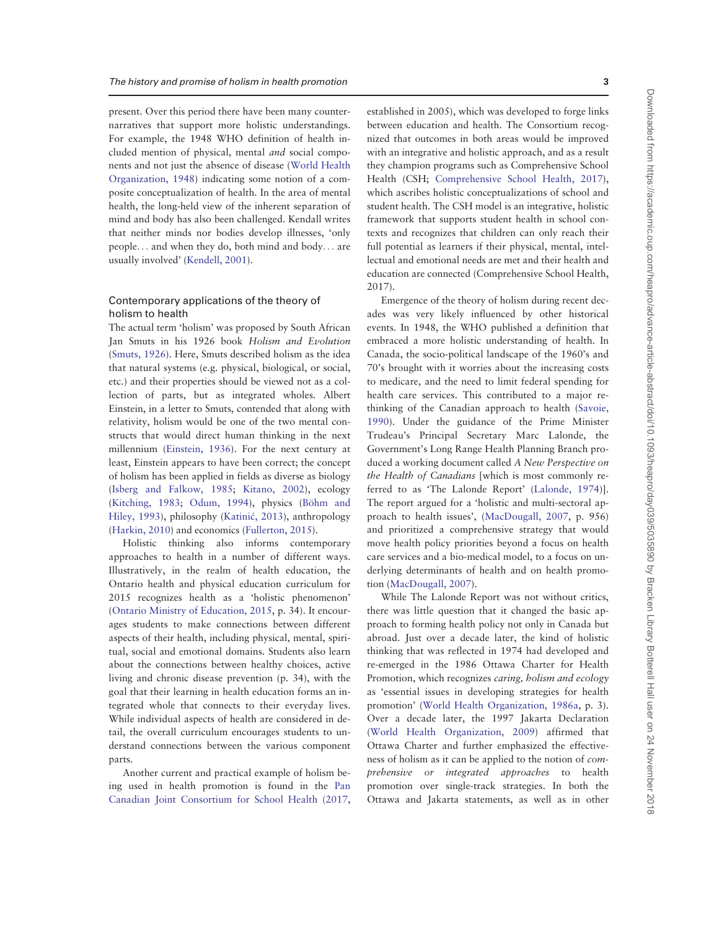present. Over this period there have been many counternarratives that support more holistic understandings. For example, the 1948 WHO definition of health included mention of physical, mental and social components and not just the absence of disease (World Health Organization, 1948) indicating some notion of a composite conceptualization of health. In the area of mental health, the long-held view of the inherent separation of mind and body has also been challenged. Kendall writes that neither minds nor bodies develop illnesses, 'only people... and when they do, both mind and body... are usually involved' (Kendell, 2001).

#### Contemporary applications of the theory of holism to health

The actual term 'holism' was proposed by South African Jan Smuts in his 1926 book Holism and Evolution (Smuts, 1926). Here, Smuts described holism as the idea that natural systems (e.g. physical, biological, or social, etc.) and their properties should be viewed not as a collection of parts, but as integrated wholes. Albert Einstein, in a letter to Smuts, contended that along with relativity, holism would be one of the two mental constructs that would direct human thinking in the next millennium (Einstein, 1936). For the next century at least, Einstein appears to have been correct; the concept of holism has been applied in fields as diverse as biology (Isberg and Falkow, 1985; Kitano, 2002), ecology (Kitching, 1983; Odum, 1994), physics (Böhm and Hiley, 1993), philosophy (Katinić, 2013), anthropology (Harkin, 2010) and economics (Fullerton, 2015).

Holistic thinking also informs contemporary approaches to health in a number of different ways. Illustratively, in the realm of health education, the Ontario health and physical education curriculum for 2015 recognizes health as a 'holistic phenomenon' (Ontario Ministry of Education, 2015, p. 34). It encourages students to make connections between different aspects of their health, including physical, mental, spiritual, social and emotional domains. Students also learn about the connections between healthy choices, active living and chronic disease prevention (p. 34), with the goal that their learning in health education forms an integrated whole that connects to their everyday lives. While individual aspects of health are considered in detail, the overall curriculum encourages students to understand connections between the various component parts.

Another current and practical example of holism being used in health promotion is found in the Pan Canadian Joint Consortium for School Health (2017, established in 2005), which was developed to forge links between education and health. The Consortium recognized that outcomes in both areas would be improved with an integrative and holistic approach, and as a result they champion programs such as Comprehensive School Health (CSH; Comprehensive School Health, 2017), which ascribes holistic conceptualizations of school and student health. The CSH model is an integrative, holistic framework that supports student health in school contexts and recognizes that children can only reach their full potential as learners if their physical, mental, intellectual and emotional needs are met and their health and education are connected (Comprehensive School Health, 2017).

Emergence of the theory of holism during recent decades was very likely influenced by other historical events. In 1948, the WHO published a definition that embraced a more holistic understanding of health. In Canada, the socio-political landscape of the 1960's and 70's brought with it worries about the increasing costs to medicare, and the need to limit federal spending for health care services. This contributed to a major rethinking of the Canadian approach to health (Savoie, 1990). Under the guidance of the Prime Minister Trudeau's Principal Secretary Marc Lalonde, the Government's Long Range Health Planning Branch produced a working document called A New Perspective on the Health of Canadians [which is most commonly referred to as 'The Lalonde Report' (Lalonde, 1974)]. The report argued for a 'holistic and multi-sectoral approach to health issues', (MacDougall, 2007, p. 956) and prioritized a comprehensive strategy that would move health policy priorities beyond a focus on health care services and a bio-medical model, to a focus on underlying determinants of health and on health promotion (MacDougall, 2007).

While The Lalonde Report was not without critics, there was little question that it changed the basic approach to forming health policy not only in Canada but abroad. Just over a decade later, the kind of holistic thinking that was reflected in 1974 had developed and re-emerged in the 1986 Ottawa Charter for Health Promotion, which recognizes caring, holism and ecology as 'essential issues in developing strategies for health promotion' (World Health Organization, 1986a, p. 3). Over a decade later, the 1997 Jakarta Declaration (World Health Organization, 2009) affirmed that Ottawa Charter and further emphasized the effectiveness of holism as it can be applied to the notion of comprehensive or integrated approaches to health promotion over single-track strategies. In both the Ottawa and Jakarta statements, as well as in other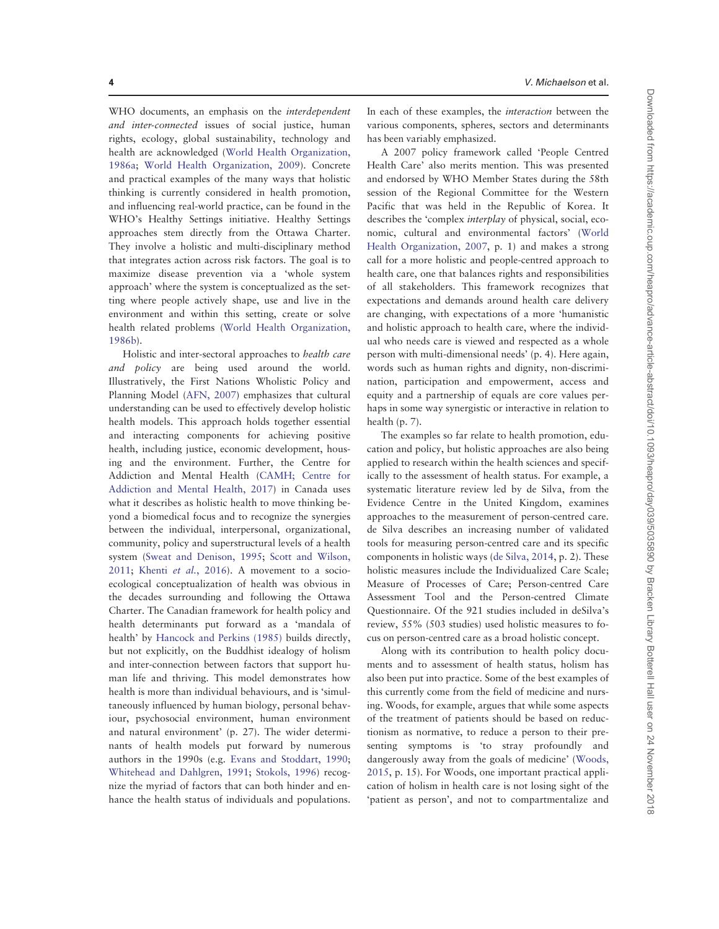WHO documents, an emphasis on the interdependent and inter-connected issues of social justice, human rights, ecology, global sustainability, technology and health are acknowledged (World Health Organization, 1986a; World Health Organization, 2009). Concrete and practical examples of the many ways that holistic thinking is currently considered in health promotion, and influencing real-world practice, can be found in the WHO's Healthy Settings initiative. Healthy Settings approaches stem directly from the Ottawa Charter. They involve a holistic and multi-disciplinary method that integrates action across risk factors. The goal is to maximize disease prevention via a 'whole system approach' where the system is conceptualized as the setting where people actively shape, use and live in the environment and within this setting, create or solve health related problems (World Health Organization, 1986b).

Holistic and inter-sectoral approaches to health care and policy are being used around the world. Illustratively, the First Nations Wholistic Policy and Planning Model (AFN, 2007) emphasizes that cultural understanding can be used to effectively develop holistic health models. This approach holds together essential and interacting components for achieving positive health, including justice, economic development, housing and the environment. Further, the Centre for Addiction and Mental Health (CAMH; Centre for Addiction and Mental Health, 2017) in Canada uses what it describes as holistic health to move thinking beyond a biomedical focus and to recognize the synergies between the individual, interpersonal, organizational, community, policy and superstructural levels of a health system (Sweat and Denison, 1995; Scott and Wilson, 2011; Khenti et al., 2016). A movement to a socioecological conceptualization of health was obvious in the decades surrounding and following the Ottawa Charter. The Canadian framework for health policy and health determinants put forward as a 'mandala of health' by Hancock and Perkins (1985) builds directly, but not explicitly, on the Buddhist idealogy of holism and inter-connection between factors that support human life and thriving. This model demonstrates how health is more than individual behaviours, and is 'simultaneously influenced by human biology, personal behaviour, psychosocial environment, human environment and natural environment' (p. 27). The wider determinants of health models put forward by numerous authors in the 1990s (e.g. Evans and Stoddart, 1990; Whitehead and Dahlgren, 1991; Stokols, 1996) recognize the myriad of factors that can both hinder and enhance the health status of individuals and populations.

In each of these examples, the interaction between the various components, spheres, sectors and determinants has been variably emphasized.

A 2007 policy framework called 'People Centred Health Care' also merits mention. This was presented and endorsed by WHO Member States during the 58th session of the Regional Committee for the Western Pacific that was held in the Republic of Korea. It describes the 'complex interplay of physical, social, economic, cultural and environmental factors' (World Health Organization, 2007, p. 1) and makes a strong call for a more holistic and people-centred approach to health care, one that balances rights and responsibilities of all stakeholders. This framework recognizes that expectations and demands around health care delivery are changing, with expectations of a more 'humanistic and holistic approach to health care, where the individual who needs care is viewed and respected as a whole person with multi-dimensional needs' (p. 4). Here again, words such as human rights and dignity, non-discrimination, participation and empowerment, access and equity and a partnership of equals are core values perhaps in some way synergistic or interactive in relation to health (p. 7).

The examples so far relate to health promotion, education and policy, but holistic approaches are also being applied to research within the health sciences and specifically to the assessment of health status. For example, a systematic literature review led by de Silva, from the Evidence Centre in the United Kingdom, examines approaches to the measurement of person-centred care. de Silva describes an increasing number of validated tools for measuring person-centred care and its specific components in holistic ways (de Silva, 2014, p. 2). These holistic measures include the Individualized Care Scale; Measure of Processes of Care; Person-centred Care Assessment Tool and the Person-centred Climate Questionnaire. Of the 921 studies included in deSilva's review, 55% (503 studies) used holistic measures to focus on person-centred care as a broad holistic concept.

Along with its contribution to health policy documents and to assessment of health status, holism has also been put into practice. Some of the best examples of this currently come from the field of medicine and nursing. Woods, for example, argues that while some aspects of the treatment of patients should be based on reductionism as normative, to reduce a person to their presenting symptoms is 'to stray profoundly and dangerously away from the goals of medicine' (Woods, 2015, p. 15). For Woods, one important practical application of holism in health care is not losing sight of the 'patient as person', and not to compartmentalize and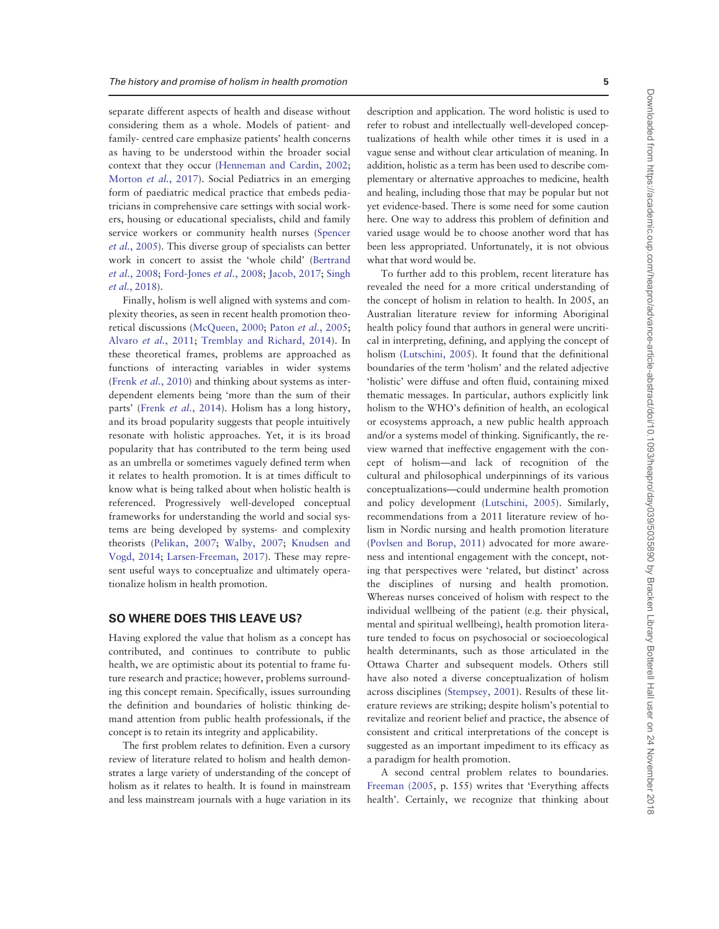separate different aspects of health and disease without considering them as a whole. Models of patient- and family- centred care emphasize patients' health concerns as having to be understood within the broader social context that they occur (Henneman and Cardin, 2002; Morton et al., 2017). Social Pediatrics in an emerging form of paediatric medical practice that embeds pediatricians in comprehensive care settings with social workers, housing or educational specialists, child and family service workers or community health nurses (Spencer et al., 2005). This diverse group of specialists can better work in concert to assist the 'whole child' (Bertrand et al., 2008; Ford-Jones et al., 2008; Jacob, 2017; Singh et al., 2018).

Finally, holism is well aligned with systems and complexity theories, as seen in recent health promotion theoretical discussions (McQueen, 2000; Paton et al., 2005; Alvaro et al., 2011; Tremblay and Richard, 2014). In these theoretical frames, problems are approached as functions of interacting variables in wider systems (Frenk et al., 2010) and thinking about systems as interdependent elements being 'more than the sum of their parts' (Frenk et al., 2014). Holism has a long history, and its broad popularity suggests that people intuitively resonate with holistic approaches. Yet, it is its broad popularity that has contributed to the term being used as an umbrella or sometimes vaguely defined term when it relates to health promotion. It is at times difficult to know what is being talked about when holistic health is referenced. Progressively well-developed conceptual frameworks for understanding the world and social systems are being developed by systems- and complexity theorists (Pelikan, 2007; Walby, 2007; Knudsen and Vogd, 2014; Larsen-Freeman, 2017). These may represent useful ways to conceptualize and ultimately operationalize holism in health promotion.

## SO WHERE DOES THIS LEAVE US?

Having explored the value that holism as a concept has contributed, and continues to contribute to public health, we are optimistic about its potential to frame future research and practice; however, problems surrounding this concept remain. Specifically, issues surrounding the definition and boundaries of holistic thinking demand attention from public health professionals, if the concept is to retain its integrity and applicability.

The first problem relates to definition. Even a cursory review of literature related to holism and health demonstrates a large variety of understanding of the concept of holism as it relates to health. It is found in mainstream and less mainstream journals with a huge variation in its description and application. The word holistic is used to refer to robust and intellectually well-developed conceptualizations of health while other times it is used in a vague sense and without clear articulation of meaning. In addition, holistic as a term has been used to describe complementary or alternative approaches to medicine, health and healing, including those that may be popular but not yet evidence-based. There is some need for some caution here. One way to address this problem of definition and varied usage would be to choose another word that has been less appropriated. Unfortunately, it is not obvious what that word would be.

To further add to this problem, recent literature has revealed the need for a more critical understanding of the concept of holism in relation to health. In 2005, an Australian literature review for informing Aboriginal health policy found that authors in general were uncritical in interpreting, defining, and applying the concept of holism (Lutschini, 2005). It found that the definitional boundaries of the term 'holism' and the related adjective 'holistic' were diffuse and often fluid, containing mixed thematic messages. In particular, authors explicitly link holism to the WHO's definition of health, an ecological or ecosystems approach, a new public health approach and/or a systems model of thinking. Significantly, the review warned that ineffective engagement with the concept of holism––and lack of recognition of the cultural and philosophical underpinnings of its various conceptualizations––could undermine health promotion and policy development (Lutschini, 2005). Similarly, recommendations from a 2011 literature review of holism in Nordic nursing and health promotion literature (Povlsen and Borup, 2011) advocated for more awareness and intentional engagement with the concept, noting that perspectives were 'related, but distinct' across the disciplines of nursing and health promotion. Whereas nurses conceived of holism with respect to the individual wellbeing of the patient (e.g. their physical, mental and spiritual wellbeing), health promotion literature tended to focus on psychosocial or socioecological health determinants, such as those articulated in the Ottawa Charter and subsequent models. Others still have also noted a diverse conceptualization of holism across disciplines (Stempsey, 2001). Results of these literature reviews are striking; despite holism's potential to revitalize and reorient belief and practice, the absence of consistent and critical interpretations of the concept is suggested as an important impediment to its efficacy as a paradigm for health promotion.

A second central problem relates to boundaries. Freeman (2005, p. 155) writes that 'Everything affects health'. Certainly, we recognize that thinking about Downloaded from https://academic.oup.com/heapro/advance-article-abstract/doi/10.1093/heapro/day039/5035890 by Bracken Library Botterell Hall user on 24 November 2018 Downloaded from https://academic.oup.com/heapro/advance-article-abstract/doi/10.1093/heapro/day039/5035890 by Bracken Library Botterell Hall user on 24 November 2018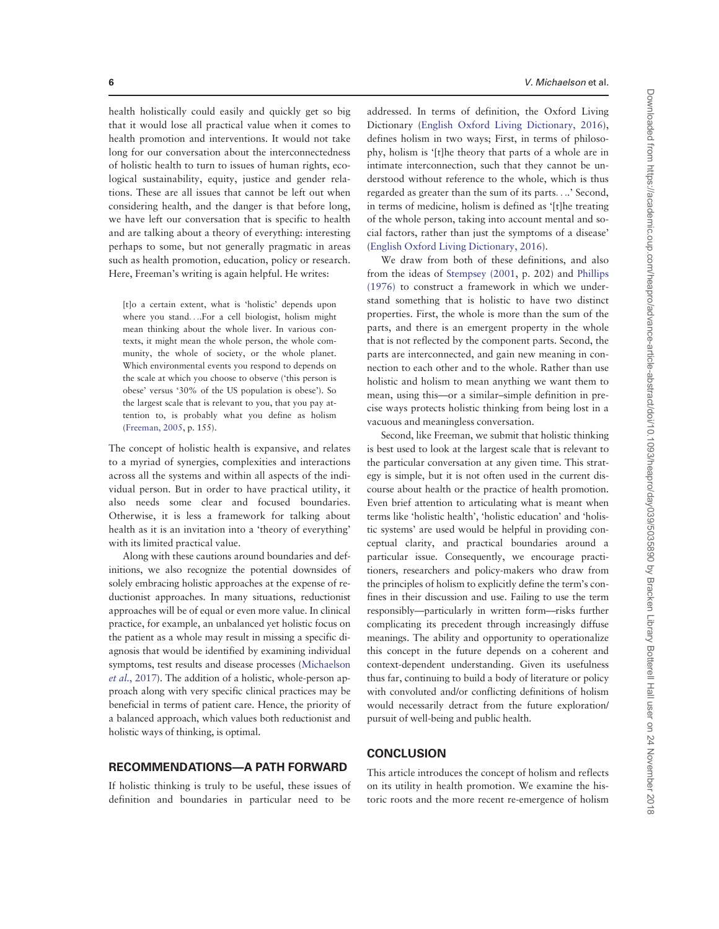health holistically could easily and quickly get so big that it would lose all practical value when it comes to health promotion and interventions. It would not take long for our conversation about the interconnectedness of holistic health to turn to issues of human rights, ecological sustainability, equity, justice and gender relations. These are all issues that cannot be left out when considering health, and the danger is that before long, we have left our conversation that is specific to health and are talking about a theory of everything: interesting perhaps to some, but not generally pragmatic in areas such as health promotion, education, policy or research. Here, Freeman's writing is again helpful. He writes:

[t]o a certain extent, what is 'holistic' depends upon where you stand....For a cell biologist, holism might mean thinking about the whole liver. In various contexts, it might mean the whole person, the whole community, the whole of society, or the whole planet. Which environmental events you respond to depends on the scale at which you choose to observe ('this person is obese' versus '30% of the US population is obese'). So the largest scale that is relevant to you, that you pay attention to, is probably what you define as holism (Freeman, 2005, p. 155).

The concept of holistic health is expansive, and relates to a myriad of synergies, complexities and interactions across all the systems and within all aspects of the individual person. But in order to have practical utility, it also needs some clear and focused boundaries. Otherwise, it is less a framework for talking about health as it is an invitation into a 'theory of everything' with its limited practical value.

Along with these cautions around boundaries and definitions, we also recognize the potential downsides of solely embracing holistic approaches at the expense of reductionist approaches. In many situations, reductionist approaches will be of equal or even more value. In clinical practice, for example, an unbalanced yet holistic focus on the patient as a whole may result in missing a specific diagnosis that would be identified by examining individual symptoms, test results and disease processes (Michaelson et al., 2017). The addition of a holistic, whole-person approach along with very specific clinical practices may be beneficial in terms of patient care. Hence, the priority of a balanced approach, which values both reductionist and holistic ways of thinking, is optimal.

### RECOMMENDATIONS––A PATH FORWARD

If holistic thinking is truly to be useful, these issues of definition and boundaries in particular need to be

addressed. In terms of definition, the Oxford Living Dictionary (English Oxford Living Dictionary, 2016), defines holism in two ways; First, in terms of philosophy, holism is '[t]he theory that parts of a whole are in intimate interconnection, such that they cannot be understood without reference to the whole, which is thus regarded as greater than the sum of its parts....' Second, in terms of medicine, holism is defined as '[t]he treating of the whole person, taking into account mental and social factors, rather than just the symptoms of a disease' (English Oxford Living Dictionary, 2016).

We draw from both of these definitions, and also from the ideas of Stempsey (2001, p. 202) and Phillips (1976) to construct a framework in which we understand something that is holistic to have two distinct properties. First, the whole is more than the sum of the parts, and there is an emergent property in the whole that is not reflected by the component parts. Second, the parts are interconnected, and gain new meaning in connection to each other and to the whole. Rather than use holistic and holism to mean anything we want them to mean, using this––or a similar–simple definition in precise ways protects holistic thinking from being lost in a vacuous and meaningless conversation.

Second, like Freeman, we submit that holistic thinking is best used to look at the largest scale that is relevant to the particular conversation at any given time. This strategy is simple, but it is not often used in the current discourse about health or the practice of health promotion. Even brief attention to articulating what is meant when terms like 'holistic health', 'holistic education' and 'holistic systems' are used would be helpful in providing conceptual clarity, and practical boundaries around a particular issue. Consequently, we encourage practitioners, researchers and policy-makers who draw from the principles of holism to explicitly define the term's confines in their discussion and use. Failing to use the term responsibly––particularly in written form––risks further complicating its precedent through increasingly diffuse meanings. The ability and opportunity to operationalize this concept in the future depends on a coherent and context-dependent understanding. Given its usefulness thus far, continuing to build a body of literature or policy with convoluted and/or conflicting definitions of holism would necessarily detract from the future exploration/ pursuit of well-being and public health.

# **CONCLUSION**

This article introduces the concept of holism and reflects on its utility in health promotion. We examine the historic roots and the more recent re-emergence of holism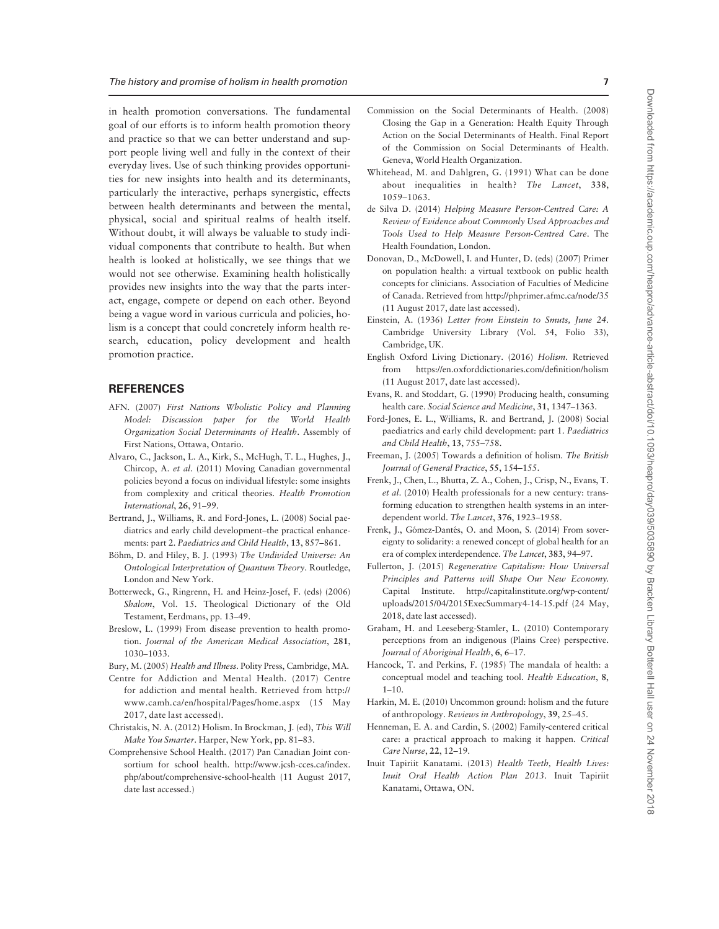in health promotion conversations. The fundamental goal of our efforts is to inform health promotion theory and practice so that we can better understand and support people living well and fully in the context of their everyday lives. Use of such thinking provides opportunities for new insights into health and its determinants, particularly the interactive, perhaps synergistic, effects between health determinants and between the mental, physical, social and spiritual realms of health itself. Without doubt, it will always be valuable to study individual components that contribute to health. But when health is looked at holistically, we see things that we would not see otherwise. Examining health holistically provides new insights into the way that the parts interact, engage, compete or depend on each other. Beyond being a vague word in various curricula and policies, holism is a concept that could concretely inform health research, education, policy development and health promotion practice.

## REFERENCES

- AFN. (2007) First Nations Wholistic Policy and Planning Model: Discussion paper for the World Health Organization Social Determinants of Health. Assembly of First Nations, Ottawa, Ontario.
- Alvaro, C., Jackson, L. A., Kirk, S., McHugh, T. L., Hughes, J., Chircop, A. et al. (2011) Moving Canadian governmental policies beyond a focus on individual lifestyle: some insights from complexity and critical theories. Health Promotion International, 26, 91–99.
- Bertrand, J., Williams, R. and Ford-Jones, L. (2008) Social paediatrics and early child development–the practical enhancements: part 2. Paediatrics and Child Health, 13, 857–861.
- Böhm, D. and Hiley, B. J. (1993) The Undivided Universe: An Ontological Interpretation of Quantum Theory. Routledge, London and New York.
- Botterweck, G., Ringrenn, H. and Heinz-Josef, F. (eds) (2006) Shalom, Vol. 15. Theological Dictionary of the Old Testament, Eerdmans, pp. 13–49.
- Breslow, L. (1999) From disease prevention to health promotion. Journal of the American Medical Association, 281, 1030–1033.
- Bury, M. (2005) Health and Illness. Polity Press, Cambridge, MA.
- Centre for Addiction and Mental Health. (2017) Centre for addiction and mental health. Retrieved from [http://](http://www.camh.ca/en/hospital/Pages/home.aspx) [www.camh.ca/en/hospital/Pages/home.aspx](http://www.camh.ca/en/hospital/Pages/home.aspx) (15 May 2017, date last accessed).
- Christakis, N. A. (2012) Holism. In Brockman, J. (ed), This Will Make You Smarter. Harper, New York, pp. 81–83.
- Comprehensive School Health. (2017) Pan Canadian Joint consortium for school health. [http://www.jcsh-cces.ca/index.](http://www.jcsh-cces.ca/index.php/about/comprehensive-school-health) [php/about/comprehensive-school-health](http://www.jcsh-cces.ca/index.php/about/comprehensive-school-health) (11 August 2017, date last accessed.)
- Commission on the Social Determinants of Health. (2008) Closing the Gap in a Generation: Health Equity Through Action on the Social Determinants of Health. Final Report of the Commission on Social Determinants of Health. Geneva, World Health Organization.
- Whitehead, M. and Dahlgren, G. (1991) What can be done about inequalities in health? The Lancet, 338, 1059–1063.
- de Silva D. (2014) Helping Measure Person-Centred Care: A Review of Evidence about Commonly Used Approaches and Tools Used to Help Measure Person-Centred Care. The Health Foundation, London.
- Donovan, D., McDowell, I. and Hunter, D. (eds) (2007) Primer on population health: a virtual textbook on public health concepts for clinicians. Association of Faculties of Medicine of Canada. Retrieved from<http://phprimer.afmc.ca/node/35> (11 August 2017, date last accessed).
- Einstein, A. (1936) Letter from Einstein to Smuts, June 24. Cambridge University Library (Vol. 54, Folio 33), Cambridge, UK.
- English Oxford Living Dictionary. (2016) Holism. Retrieved from<https://en.oxforddictionaries.com/definition/holism> (11 August 2017, date last accessed).
- Evans, R. and Stoddart, G. (1990) Producing health, consuming health care. Social Science and Medicine, 31, 1347–1363.
- Ford-Jones, E. L., Williams, R. and Bertrand, J. (2008) Social paediatrics and early child development: part 1. Paediatrics and Child Health, 13, 755–758.
- Freeman, J. (2005) Towards a definition of holism. The British Journal of General Practice, 55, 154–155.
- Frenk, J., Chen, L., Bhutta, Z. A., Cohen, J., Crisp, N., Evans, T. et al. (2010) Health professionals for a new century: transforming education to strengthen health systems in an interdependent world. The Lancet, 376, 1923–1958.
- Frenk, J., Gómez-Dantés, O. and Moon, S. (2014) From sovereignty to solidarity: a renewed concept of global health for an era of complex interdependence. The Lancet, 383, 94–97.
- Fullerton, J. (2015) Regenerative Capitalism: How Universal Principles and Patterns will Shape Our New Economy. Capital Institute. [http://capitalinstitute.org/wp-content/](http://capitalinstitute.org/wp-content/uploads/2015/04/2015ExecSummary4-14-15.pdf) [uploads/2015/04/2015ExecSummary4-14-15.pdf](http://capitalinstitute.org/wp-content/uploads/2015/04/2015ExecSummary4-14-15.pdf) (24 May, 2018, date last accessed).
- Graham, H. and Leeseberg-Stamler, L. (2010) Contemporary perceptions from an indigenous (Plains Cree) perspective. Journal of Aboriginal Health, 6, 6–17.
- Hancock, T. and Perkins, F. (1985) The mandala of health: a conceptual model and teaching tool. Health Education, 8,  $1-10.$
- Harkin, M. E. (2010) Uncommon ground: holism and the future of anthropology. Reviews in Anthropology, 39, 25–45.
- Henneman, E. A. and Cardin, S. (2002) Family-centered critical care: a practical approach to making it happen. Critical Care Nurse, 22, 12–19.
- Inuit Tapiriit Kanatami. (2013) Health Teeth, Health Lives: Inuit Oral Health Action Plan 2013. Inuit Tapiriit Kanatami, Ottawa, ON.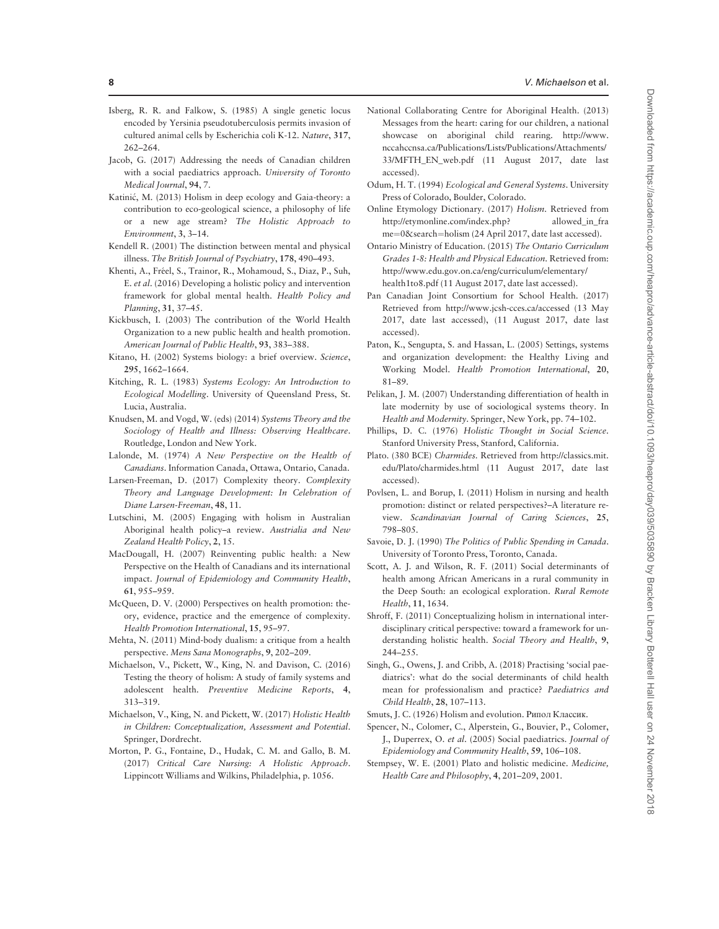- Isberg, R. R. and Falkow, S. (1985) A single genetic locus encoded by Yersinia pseudotuberculosis permits invasion of cultured animal cells by Escherichia coli K-12. Nature, 317, 262–264.
- Jacob, G. (2017) Addressing the needs of Canadian children with a social paediatrics approach. University of Toronto Medical Journal, 94, 7.
- Katinić, M. (2013) Holism in deep ecology and Gaia-theory: a contribution to eco-geological science, a philosophy of life or a new age stream? The Holistic Approach to Environment, 3, 3–14.
- Kendell R. (2001) The distinction between mental and physical illness. The British Journal of Psychiatry, 178, 490–493.
- Khenti, A., Fréel, S., Trainor, R., Mohamoud, S., Diaz, P., Suh, E. et al. (2016) Developing a holistic policy and intervention framework for global mental health. Health Policy and Planning, 31, 37–45.
- Kickbusch, I. (2003) The contribution of the World Health Organization to a new public health and health promotion. American Journal of Public Health, 93, 383–388.
- Kitano, H. (2002) Systems biology: a brief overview. Science, 295, 1662–1664.
- Kitching, R. L. (1983) Systems Ecology: An Introduction to Ecological Modelling. University of Queensland Press, St. Lucia, Australia.
- Knudsen, M. and Vogd, W. (eds) (2014) Systems Theory and the Sociology of Health and Illness: Observing Healthcare. Routledge, London and New York.
- Lalonde, M. (1974) A New Perspective on the Health of Canadians. Information Canada, Ottawa, Ontario, Canada.
- Larsen-Freeman, D. (2017) Complexity theory. Complexity Theory and Language Development: In Celebration of Diane Larsen-Freeman, 48, 11.
- Lutschini, M. (2005) Engaging with holism in Australian Aboriginal health policy–a review. Austrialia and New Zealand Health Policy, 2, 15.
- MacDougall, H. (2007) Reinventing public health: a New Perspective on the Health of Canadians and its international impact. Journal of Epidemiology and Community Health, 61, 955–959.
- McQueen, D. V. (2000) Perspectives on health promotion: theory, evidence, practice and the emergence of complexity. Health Promotion International, 15, 95–97.
- Mehta, N. (2011) Mind-body dualism: a critique from a health perspective. Mens Sana Monographs, 9, 202–209.
- Michaelson, V., Pickett, W., King, N. and Davison, C. (2016) Testing the theory of holism: A study of family systems and adolescent health. Preventive Medicine Reports, 4, 313–319.
- Michaelson, V., King, N. and Pickett, W. (2017) Holistic Health in Children: Conceptualization, Assessment and Potential. Springer, Dordrecht.
- Morton, P. G., Fontaine, D., Hudak, C. M. and Gallo, B. M. (2017) Critical Care Nursing: A Holistic Approach. Lippincott Williams and Wilkins, Philadelphia, p. 1056.
- National Collaborating Centre for Aboriginal Health. (2013) Messages from the heart: caring for our children, a national showcase on aboriginal child rearing. [http://www.](http://www.nccahccnsa.ca/Publications/Lists/Publications/Attachments/33/MFTH_EN_web.pdf) [nccahccnsa.ca/Publications/Lists/Publications/Attachments/](http://www.nccahccnsa.ca/Publications/Lists/Publications/Attachments/33/MFTH_EN_web.pdf) [33/MFTH\\_EN\\_web.pdf](http://www.nccahccnsa.ca/Publications/Lists/Publications/Attachments/33/MFTH_EN_web.pdf) (11 August 2017, date last accessed).
- Odum, H. T. (1994) Ecological and General Systems. University Press of Colorado, Boulder, Colorado.
- Online Etymology Dictionary. (2017) Holism. Retrieved from http://etymonline.com/index.php? allowed\_in\_fra me=0&search=holism (24 April 2017, date last accessed).
- Ontario Ministry of Education. (2015) The Ontario Curriculum Grades 1-8: Health and Physical Education. Retrieved from: [http://www.edu.gov.on.ca/eng/curriculum/elementary/](http://www.edu.gov.on.ca/eng/curriculum/elementary/health1to8.pdf) [health1to8.pdf](http://www.edu.gov.on.ca/eng/curriculum/elementary/health1to8.pdf) (11 August 2017, date last accessed).
- Pan Canadian Joint Consortium for School Health. (2017) Retrieved from<http://www.jcsh-cces.ca/accessed> (13 May 2017, date last accessed), (11 August 2017, date last accessed).
- Paton, K., Sengupta, S. and Hassan, L. (2005) Settings, systems and organization development: the Healthy Living and Working Model. Health Promotion International, 20, 81–89.
- Pelikan, J. M. (2007) Understanding differentiation of health in late modernity by use of sociological systems theory. In Health and Modernity. Springer, New York, pp. 74–102.
- Phillips, D. C. (1976) Holistic Thought in Social Science. Stanford University Press, Stanford, California.
- Plato. (380 BCE) Charmides. Retrieved from [http://classics.mit.](http://classics.mit.edu/Plato/charmides.html) [edu/Plato/charmides.html](http://classics.mit.edu/Plato/charmides.html) (11 August 2017, date last accessed).
- Povlsen, L. and Borup, I. (2011) Holism in nursing and health promotion: distinct or related perspectives?–A literature review. Scandinavian Journal of Caring Sciences, 25, 798–805.
- Savoie, D. J. (1990) The Politics of Public Spending in Canada. University of Toronto Press, Toronto, Canada.
- Scott, A. J. and Wilson, R. F. (2011) Social determinants of health among African Americans in a rural community in the Deep South: an ecological exploration. Rural Remote Health, 11, 1634.
- Shroff, F. (2011) Conceptualizing holism in international interdisciplinary critical perspective: toward a framework for understanding holistic health. Social Theory and Health, 9, 244–255.
- Singh, G., Owens, J. and Cribb, A. (2018) Practising 'social paediatrics': what do the social determinants of child health mean for professionalism and practice? Paediatrics and Child Health, 28, 107–113.
- Smuts, J. C. (1926) Holism and evolution. Рипол Классик.
- Spencer, N., Colomer, C., Alperstein, G., Bouvier, P., Colomer, J., Duperrex, O. et al. (2005) Social paediatrics. Journal of Epidemiology and Community Health, 59, 106–108.
- Stempsey, W. E. (2001) Plato and holistic medicine. Medicine, Health Care and Philosophy, 4, 201–209, 2001.